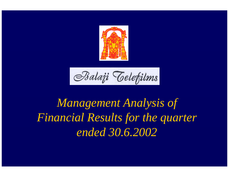

Balaji Telefilms

## *Management Analysis of Financial Results for the quarter ended 30.6.2002*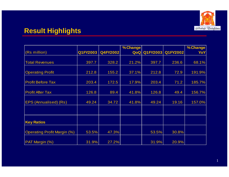

## **Result Highlights**

|                                    |          |          | % Change |       |                       | % Change |
|------------------------------------|----------|----------|----------|-------|-----------------------|----------|
| (Rs million)                       | Q1FY2003 | Q4FY2002 |          |       | QoQ Q1FY2003 Q1FY2002 | YoY      |
|                                    |          |          |          |       |                       |          |
| <b>Total Revenues</b>              | 397.7    | 328.2    | 21.2%    | 397.7 | 236.6                 | 68.1%    |
|                                    |          |          |          |       |                       |          |
| <b>Operating Profit</b>            | 212.8    | 155.2    | 37.1%    | 212.8 | 72.9                  | 191.9%   |
|                                    |          |          |          |       |                       |          |
| <b>Profit Before Tax</b>           | 203.4    | 172.5    | 17.9%    | 203.4 | 71.2                  | 185.7%   |
|                                    |          |          |          |       |                       |          |
| <b>Profit After Tax</b>            | 126.8    | 89.4     | 41.8%    | 126.8 | 49.4                  | 156.7%   |
|                                    |          |          |          |       |                       |          |
| EPS (Annualised) (Rs)              | 49.24    | 34.72    | 41.8%    | 49.24 | 19.16                 | 157.0%   |
|                                    |          |          |          |       |                       |          |
|                                    |          |          |          |       |                       |          |
|                                    |          |          |          |       |                       |          |
| <b>Key Ratios</b>                  |          |          |          |       |                       |          |
|                                    |          |          |          |       |                       |          |
| <b>Operating Profit Margin (%)</b> | 53.5%    | 47.3%    |          | 53.5% | 30.8%                 |          |
|                                    |          |          |          |       |                       |          |
| PAT Margin (%)                     | 31.9%    | 27.2%    |          | 31.9% | 20.9%                 |          |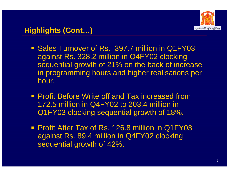

- **Sales Turnover of Rs. 397.7 million in Q1FY03** against Rs. 328.2 million in Q4FY02 clocking sequential growth of 21% on the back of increase in programming hours and higher realisations per hour.
- **Profit Before Write off and Tax increased from** 172.5 million in Q4FY02 to 203.4 million in Q1FY03 clocking sequential growth of 18%.
- **Profit After Tax of Rs. 126.8 million in Q1FY03** against Rs. 89.4 million in Q4FY02 clocking sequential growth of 42%.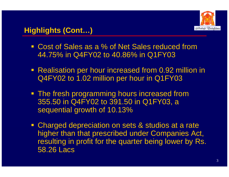

## **Highlights (Cont…)**

- Cost of Sales as a % of Net Sales reduced from 44.75% in Q4FY02 to 40.86% in Q1FY03
- **Realisation per hour increased from 0.92 million in** Q4FY02 to 1.02 million per hour in Q1FY03
- **The fresh programming hours increased from** 355.50 in Q4FY02 to 391.50 in Q1FY03, a sequential growth of 10.13%
- **Charged depreciation on sets & studios at a rate** higher than that prescribed under Companies Act, resulting in profit for the quarter being lower by Rs. 58.26 Lacs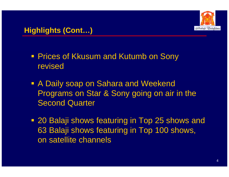

- **Prices of Kkusum and Kutumb on Sony** revised
- A Daily soap on Sahara and Weekend Programs on Star & Sony going on air in the Second Quarter
- 20 Balaji shows featuring in Top 25 shows and 63 Balaji shows featuring in Top 100 shows, on satellite channels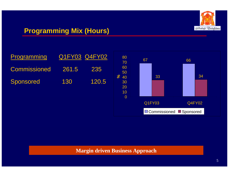

## **Programming Mix (Hours)**

| Programming  |       | Q1FY03 Q4FY02 |
|--------------|-------|---------------|
| Commissioned | 261.5 | 235           |
| Sponsored    | 130   | 120.5         |



#### **Margin driven Business Approach**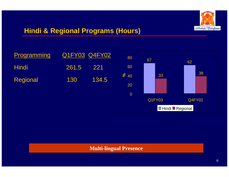

## **Hindi & Regional Programs (Hours)**





#### **Multi-lingual Presence**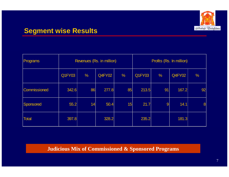

## **Segment wise Results**

| Programs     | Revenues (Rs. in million) |               |        |               | Profits (Rs. In million) |    |        |               |
|--------------|---------------------------|---------------|--------|---------------|--------------------------|----|--------|---------------|
|              | <b>Q1FY03</b>             | $\frac{9}{6}$ | Q4FY02 | $\frac{0}{6}$ | Q1FY03                   | %  | Q4FY02 | $\frac{0}{0}$ |
| Commissioned | 342.6                     | 86            | 277.8  | 85            | 213.5                    | 91 | 167.2  | 92            |
| Sponsored    | 55.2                      | 14            | 50.4   | 15            | 21.7                     | 9  | 14.1   | 8             |
| <b>Total</b> | 397.8                     |               | 328.2  |               | 235.2                    |    | 181.3  |               |

#### **Judicious Mix of Commissioned & Sponsored Programs**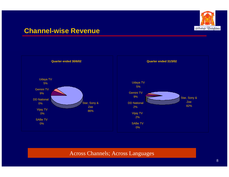

### **Channel-wise Revenue**



#### Across Channels; Across Languages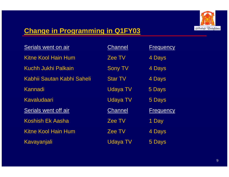

## **Change in Programming in Q1FY03**

| Serials went on air        | Channel         | Frequency        |  |
|----------------------------|-----------------|------------------|--|
| <b>Kitne Kool Hain Hum</b> | Zee TV          | 4 Days           |  |
| <b>Kuchh Jukhi Palkain</b> | <b>Sony TV</b>  | 4 Days           |  |
| Kabhii Sautan Kabhi Saheli | <b>Star TV</b>  | 4 Days           |  |
| Kannadi                    | <b>Udaya TV</b> | 5 Days           |  |
| Kavaludaari                | <b>Udaya TV</b> | 5 Days           |  |
| Serials went off air       | Channel         | <b>Frequency</b> |  |
| <b>Koshish Ek Aasha</b>    | Zee TV          | 1 Day            |  |
| <b>Kitne Kool Hain Hum</b> | Zee TV          | 4 Days           |  |
| Kavayanjali                | <b>Udaya TV</b> | 5 Days           |  |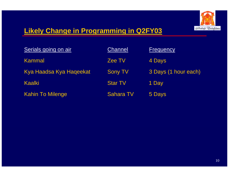

## **Likely Change in Programming in Q2FY03**

| Serials going on air    | <b>Channel</b>   | Frequency            |
|-------------------------|------------------|----------------------|
| Kammal                  | Zee TV           | 4 Days               |
| Kya Haadsa Kya Haqeekat | <b>Sony TV</b>   | 3 Days (1 hour each) |
| Kaalki                  | <b>Star TV</b>   | 1 Day                |
| <b>Kahin To Milenge</b> | <b>Sahara TV</b> | 5 Days               |